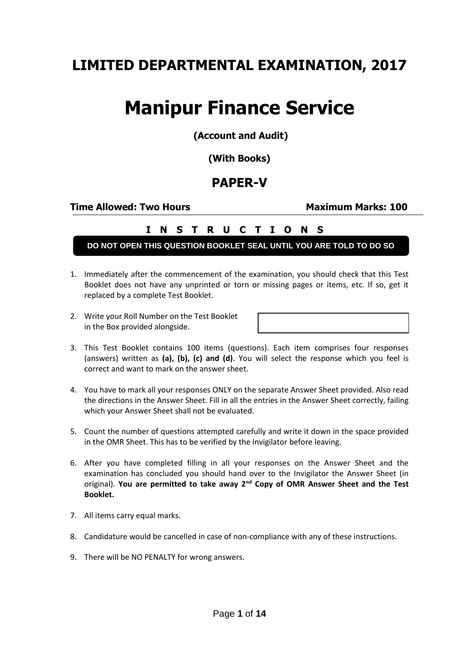## **LIMITED DEPARTMENTAL EXAMINATION, 2017**

# **Manipur Finance Service**

**(Account and Audit)**

**(With Books)**

### **PAPER-V**

**Time Allowed: Two Hours Maximum Marks: 100**

#### **I N S T R U C T I O N S**

**DO NOT OPEN THIS QUESTION BOOKLET SEAL UNTIL YOU ARE TOLD TO DO SO**

- 1. Immediately after the commencement of the examination, you should check that this Test Booklet does not have any unprinted or torn or missing pages or items, etc. If so, get it replaced by a complete Test Booklet.
- 2. Write your Roll Number on the Test Booklet in the Box provided alongside.

- 3. This Test Booklet contains 100 items (questions). Each item comprises four responses (answers) written as **(a), (b), (c) and (d)**. You will select the response which you feel is correct and want to mark on the answer sheet.
- 4. You have to mark all your responses ONLY on the separate Answer Sheet provided. Also read the directions in the Answer Sheet. Fill in all the entries in the Answer Sheet correctly, failing which your Answer Sheet shall not be evaluated.
- 5. Count the number of questions attempted carefully and write it down in the space provided in the OMR Sheet. This has to be verified by the Invigilator before leaving.
- 6. After you have completed filling in all your responses on the Answer Sheet and the examination has concluded you should hand over to the Invigilator the Answer Sheet (in original). **You are permitted to take away 2nd Copy of OMR Answer Sheet and the Test Booklet.**
- 7. All items carry equal marks.
- 8. Candidature would be cancelled in case of non-compliance with any of these instructions.
- 9. There will be NO PENALTY for wrong answers.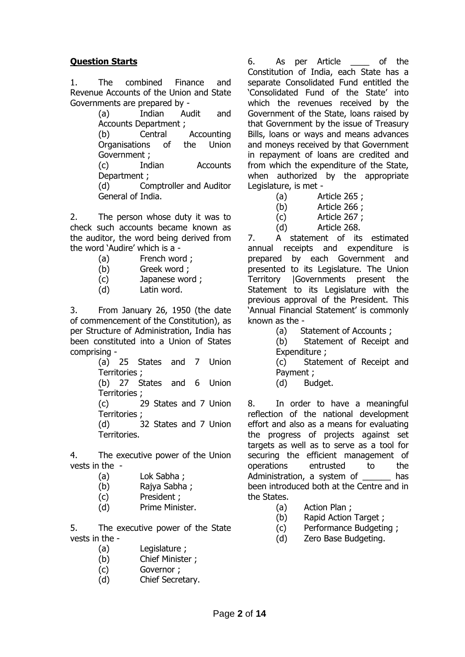#### **Question Starts**

1. The combined Finance and Revenue Accounts of the Union and State Governments are prepared by -

(a) Indian Audit and Accounts Department ;

(b) Central Accounting Organisations of the Union Government ;

(c) Indian Accounts Department ;

(d) Comptroller and Auditor General of India.

2. The person whose duty it was to check such accounts became known as the auditor, the word being derived from the word 'Audire' which is a -

- (a) French word ;
- (b) Greek word ;
- (c) Japanese word ;
- (d) Latin word.

3. From January 26, 1950 (the date of commencement of the Constitution), as per Structure of Administration, India has been constituted into a Union of States comprising -

(a) 25 States and 7 Union Territories ;

(b) 27 States and 6 Union Territories ;

(c) 29 States and 7 Union Territories ;

(d) 32 States and 7 Union Territories.

4. The executive power of the Union vests in the -

- (a) Lok Sabha ;
- (b) Rajya Sabha ;
- (c) President ;
- (d) Prime Minister.

5. The executive power of the State vests in the -

- (a) Legislature ;
- (b) Chief Minister ;
- (c) Governor ;
- (d) Chief Secretary.

6. As per Article \_\_\_\_ of the Constitution of India, each State has a separate Consolidated Fund entitled the 'Consolidated Fund of the State' into which the revenues received by the Government of the State, loans raised by that Government by the issue of Treasury Bills, loans or ways and means advances and moneys received by that Government in repayment of loans are credited and from which the expenditure of the State, when authorized by the appropriate Legislature, is met -

- (a) Article 265 ;
- (b) Article 266 ;
- (c) Article 267 ;
- (d) Article 268.

7. A statement of its estimated annual receipts and expenditure is prepared by each Government and presented to its Legislature. The Union Territory |Governments present the Statement to its Legislature with the previous approval of the President. This 'Annual Financial Statement' is commonly known as the -

(a) Statement of Accounts ;

(b) Statement of Receipt and Expenditure ;

(c) Statement of Receipt and Payment ;

(d) Budget.

8. In order to have a meaningful reflection of the national development effort and also as a means for evaluating the progress of projects against set targets as well as to serve as a tool for securing the efficient management of operations entrusted to the Administration, a system of has been introduced both at the Centre and in the States.

- (a) Action Plan ;
- (b) Rapid Action Target ;
- (c) Performance Budgeting ;
- (d) Zero Base Budgeting.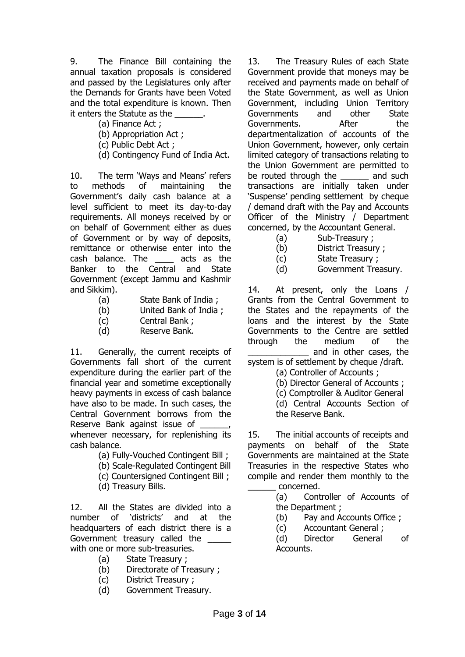9. The Finance Bill containing the annual taxation proposals is considered and passed by the Legislatures only after the Demands for Grants have been Voted and the total expenditure is known. Then it enters the Statute as the

- (a) Finance Act ;
- (b) Appropriation Act ;

(c) Public Debt Act ;

(d) Contingency Fund of India Act.

10. The term 'Ways and Means' refers to methods of maintaining the Government's daily cash balance at a level sufficient to meet its day-to-day requirements. All moneys received by or on behalf of Government either as dues of Government or by way of deposits, remittance or otherwise enter into the cash balance. The \_\_\_\_ acts as the Banker to the Central and State Government (except Jammu and Kashmir and Sikkim).

- (a) State Bank of India ;
- (b) United Bank of India ;
- (c) Central Bank ;
- (d) Reserve Bank.

11. Generally, the current receipts of Governments fall short of the current expenditure during the earlier part of the financial year and sometime exceptionally heavy payments in excess of cash balance have also to be made. In such cases, the Central Government borrows from the Reserve Bank against issue of whenever necessary, for replenishing its cash balance.

- (a) Fully-Vouched Contingent Bill ;
- (b) Scale-Regulated Contingent Bill
- (c) Countersigned Contingent Bill ;
- (d) Treasury Bills.

12. All the States are divided into a number of 'districts' and at the headquarters of each district there is a Government treasury called the with one or more sub-treasuries.

- (a) State Treasury ;
- (b) Directorate of Treasury ;
- (c) District Treasury ;
- (d) Government Treasury.

13. The Treasury Rules of each State Government provide that moneys may be received and payments made on behalf of the State Government, as well as Union Government, including Union Territory Governments and other State Governments. After the departmentalization of accounts of the Union Government, however, only certain limited category of transactions relating to the Union Government are permitted to be routed through the and such transactions are initially taken under 'Suspense' pending settlement by cheque / demand draft with the Pay and Accounts Officer of the Ministry / Department concerned, by the Accountant General.

- (a) Sub-Treasury ;
- (b) District Treasury ;
- (c) State Treasury ;
- (d) Government Treasury.

14. At present, only the Loans / Grants from the Central Government to the States and the repayments of the loans and the interest by the State Governments to the Centre are settled through the medium of the and in other cases, the

- system is of settlement by cheque /draft.
	- (a) Controller of Accounts ;
	- (b) Director General of Accounts ;
	- (c) Comptroller & Auditor General
	- (d) Central Accounts Section of the Reserve Bank.

15. The initial accounts of receipts and payments on behalf of the State Governments are maintained at the State Treasuries in the respective States who compile and render them monthly to the \_\_\_\_\_\_ concerned.

> (a) Controller of Accounts of the Department ;

- (b) Pay and Accounts Office ;
- (c) Accountant General ;

(d) Director General of Accounts.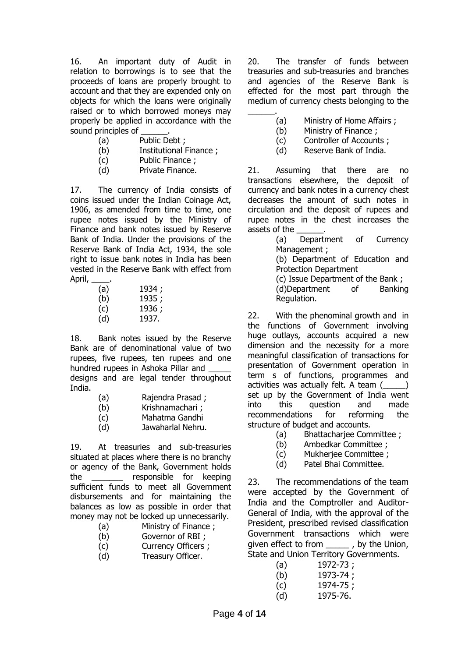16. An important duty of Audit in relation to borrowings is to see that the proceeds of loans are properly brought to account and that they are expended only on objects for which the loans were originally raised or to which borrowed moneys may properly be applied in accordance with the sound principles of

- (a) Public Debt ;
- (b) Institutional Finance ;
- (c) Public Finance ;
- (d) Private Finance.

17. The currency of India consists of coins issued under the Indian Coinage Act, 1906, as amended from time to time, one rupee notes issued by the Ministry of Finance and bank notes issued by Reserve Bank of India. Under the provisions of the Reserve Bank of India Act, 1934, the sole right to issue bank notes in India has been vested in the Reserve Bank with effect from April, \_\_\_\_.

| (a) | 1934; |
|-----|-------|
| (b) | 1935; |
| (c) | 1936; |
| (d) | 1937. |

18. Bank notes issued by the Reserve Bank are of denominational value of two rupees, five rupees, ten rupees and one hundred rupees in Ashoka Pillar and designs and are legal tender throughout India.

- (a) Rajendra Prasad ;
- (b) Krishnamachari ;
- (c) Mahatma Gandhi
- (d) Jawaharlal Nehru.

19. At treasuries and sub-treasuries situated at places where there is no branchy or agency of the Bank, Government holds the \_\_\_\_\_\_\_ responsible for keeping sufficient funds to meet all Government disbursements and for maintaining the balances as low as possible in order that money may not be locked up unnecessarily.

- (a) Ministry of Finance ;
- (b) Governor of RBI ;
- (c) Currency Officers ;
- (d) Treasury Officer.

20. The transfer of funds between treasuries and sub-treasuries and branches and agencies of the Reserve Bank is effected for the most part through the medium of currency chests belonging to the \_\_\_\_\_\_.

- (a) Ministry of Home Affairs ;
- (b) Ministry of Finance ;
- (c) Controller of Accounts ;
- (d) Reserve Bank of India.

21. Assuming that there are no transactions elsewhere, the deposit of currency and bank notes in a currency chest decreases the amount of such notes in circulation and the deposit of rupees and rupee notes in the chest increases the assets of the

(a) Department of Currency Management ; (b) Department of Education and Protection Department (c) Issue Department of the Bank ;

(d)Department of Banking Regulation.

22. With the phenominal growth and in the functions of Government involving huge outlays, accounts acquired a new dimension and the necessity for a more meaningful classification of transactions for presentation of Government operation in term s of functions, programmes and activities was actually felt. A team () set up by the Government of India went into this question and made recommendations for reforming the structure of budget and accounts.

- (a) Bhattacharjee Committee ;
- (b) Ambedkar Committee ;
- (c) Mukherjee Committee ;
- (d) Patel Bhai Committee.

23. The recommendations of the team were accepted by the Government of India and the Comptroller and Auditor-General of India, with the approval of the President, prescribed revised classification Government transactions which were given effect to from \_\_\_\_\_ , by the Union, State and Union Territory Governments.

| (a) | 1972-73; |
|-----|----------|
| (b) | 1973-74; |
| (c) | 1974-75; |
| (d) | 1975-76. |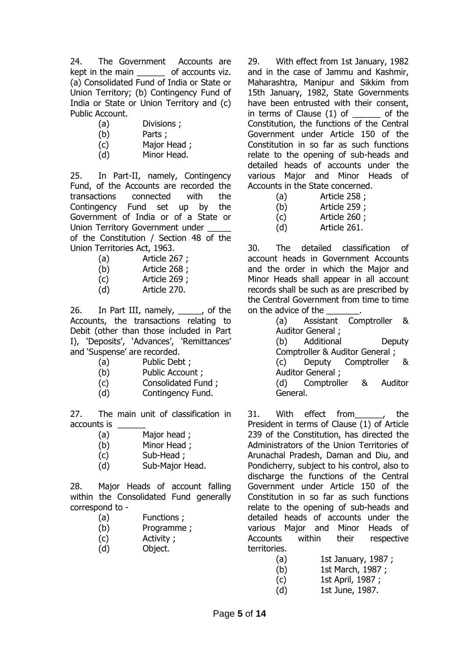24. The Government Accounts are kept in the main both accounts viz. (a) Consolidated Fund of India or State or Union Territory; (b) Contingency Fund of India or State or Union Territory and (c) Public Account.

- (a) Divisions ;
- (b) Parts ;
- (c) Major Head ;
- (d) Minor Head.

25. In Part-II, namely, Contingency Fund, of the Accounts are recorded the transactions connected with the Contingency Fund set up by the Government of India or of a State or Union Territory Government under of the Constitution / Section 48 of the Union Territories Act, 1963.

- (a) Article 267 ;
- (b) Article 268 ;
- (c) Article 269 ;
- (d) Article 270.

26. In Part III, namely, \_\_\_\_\_, of the Accounts, the transactions relating to Debit (other than those included in Part I), 'Deposits', 'Advances', 'Remittances' and 'Suspense' are recorded.

- (a) Public Debt ;
- (b) Public Account ;
- (c) Consolidated Fund ;
- (d) Contingency Fund.

27. The main unit of classification in accounts is

- (a) Major head ;
- (b) Minor Head ;
- (c) Sub-Head ;
- (d) Sub-Major Head.

28. Major Heads of account falling within the Consolidated Fund generally correspond to -

- (a) Functions ;
- (b) Programme ;
- (c) Activity ;
- (d) Object.

29. With effect from 1st January, 1982 and in the case of Jammu and Kashmir, Maharashtra, Manipur and Sikkim from 15th January, 1982, State Governments have been entrusted with their consent, in terms of Clause (1) of dot the Constitution, the functions of the Central Government under Article 150 of the Constitution in so far as such functions relate to the opening of sub-heads and detailed heads of accounts under the various Major and Minor Heads of Accounts in the State concerned.

(a) Article 258 ;

(b) Article 259 ;

(c) Article 260 ;

(d) Article 261.

30. The detailed classification of account heads in Government Accounts and the order in which the Major and Minor Heads shall appear in all account records shall be such as are prescribed by the Central Government from time to time on the advice of the

(a) Assistant Comptroller & Auditor General ; (b) Additional Deputy

Comptroller & Auditor General ;

(c) Deputy Comptroller & Auditor General ;

(d) Comptroller & Auditor General.

31. With effect from , the President in terms of Clause (1) of Article 239 of the Constitution, has directed the Administrators of the Union Territories of Arunachal Pradesh, Daman and Diu, and Pondicherry, subject to his control, also to discharge the functions of the Central Government under Article 150 of the Constitution in so far as such functions relate to the opening of sub-heads and detailed heads of accounts under the various Major and Minor Heads of Accounts within their respective territories.

- (a) 1st January, 1987 ;
- (b) 1st March, 1987 ;
- (c) 1st April, 1987 ;
- (d) 1st June, 1987.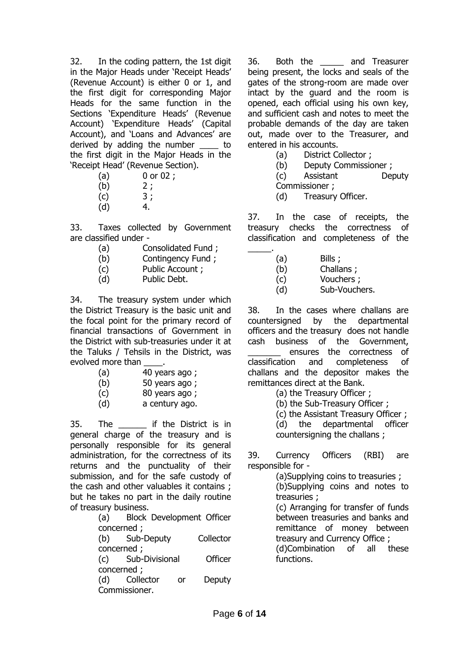32. In the coding pattern, the 1st digit in the Major Heads under 'Receipt Heads' (Revenue Account) is either 0 or 1, and the first digit for corresponding Major Heads for the same function in the Sections 'Expenditure Heads' (Revenue Account) 'Expenditure Heads' (Capital Account), and 'Loans and Advances' are derived by adding the number to the first digit in the Major Heads in the 'Receipt Head' (Revenue Section).

- (a) 0 or 02 ;
- $(b)$  2;
- $(c)$  3;
- $(d)$  4.

33. Taxes collected by Government are classified under -

- (a) Consolidated Fund ;
- (b) Contingency Fund ;
- (c) Public Account ;
- (d) Public Debt.

34. The treasury system under which the District Treasury is the basic unit and the focal point for the primary record of financial transactions of Government in the District with sub-treasuries under it at the Taluks / Tehsils in the District, was evolved more than

- (a) 40 years ago ;
- (b) 50 years ago ;
- (c) 80 years ago ;
- (d) a century ago.

35. The \_\_\_\_\_\_ if the District is in general charge of the treasury and is personally responsible for its general administration, for the correctness of its returns and the punctuality of their submission, and for the safe custody of the cash and other valuables it contains ; but he takes no part in the daily routine of treasury business.

(a) Block Development Officer concerned ;

(b) Sub-Deputy Collector concerned ;

(c) Sub-Divisional Officer concerned ;

(d) Collector or Deputy Commissioner.

36. Both the \_\_\_\_\_ and Treasurer being present, the locks and seals of the gates of the strong-room are made over intact by the guard and the room is opened, each official using his own key, and sufficient cash and notes to meet the probable demands of the day are taken out, made over to the Treasurer, and entered in his accounts.

- (a) District Collector ;
- (b) Deputy Commissioner ;

(c) Assistant Deputy Commissioner ;

(d) Treasury Officer.

37. In the case of receipts, the treasury checks the correctness of classification and completeness of the \_\_\_\_\_.

- (a) Bills ;
- (b) Challans ;
- (c) Vouchers ;
- (d) Sub-Vouchers.

38. In the cases where challans are countersigned by the departmental officers and the treasury does not handle cash business of the Government, ensures the correctness of

classification and completeness of challans and the depositor makes the remittances direct at the Bank.

- (a) the Treasury Officer ;
- (b) the Sub-Treasury Officer ;

(c) the Assistant Treasury Officer ;

(d) the departmental officer countersigning the challans ;

39. Currency Officers (RBI) are responsible for -

> (a)Supplying coins to treasuries ; (b)Supplying coins and notes to

treasuries ;

(c) Arranging for transfer of funds between treasuries and banks and remittance of money between treasury and Currency Office ;

(d)Combination of all these functions.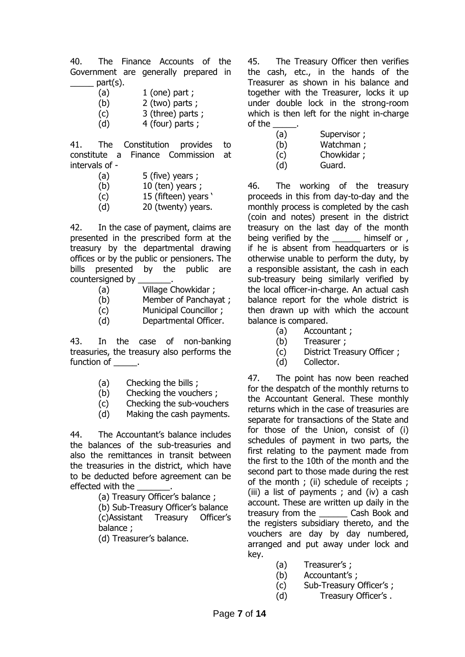40. The Finance Accounts of the Government are generally prepared in  $part(s)$ .

- (a)  $1$  (one) part ;
- (b) 2 (two) parts ;
- (c) 3 (three) parts ;
- $(d)$  4 (four) parts ;

41. The Constitution provides to constitute a Finance Commission at intervals of -

- $(a)$  5 (five) years ;
- $(b)$  10 (ten) years ;
- (c) 15 (fifteen) years '
- (d) 20 (twenty) years.

42. In the case of payment, claims are presented in the prescribed form at the treasury by the departmental drawing offices or by the public or pensioners. The bills presented by the public are countersigned by

- (a) Village Chowkidar ;
- (b) Member of Panchayat ;
- (c) Municipal Councillor ;
- (d) Departmental Officer.

43. In the case of non-banking treasuries, the treasury also performs the function of  $\qquad$ .

- (a) Checking the bills ;
- (b) Checking the vouchers ;
- (c) Checking the sub-vouchers
- (d) Making the cash payments.

44. The Accountant's balance includes the balances of the sub-treasuries and also the remittances in transit between the treasuries in the district, which have to be deducted before agreement can be effected with the

(a) Treasury Officer's balance ;

(b) Sub-Treasury Officer's balance (c)Assistant Treasury Officer's balance ;

(d) Treasurer's balance.

45. The Treasury Officer then verifies the cash, etc., in the hands of the Treasurer as shown in his balance and together with the Treasurer, locks it up under double lock in the strong-room which is then left for the night in-charge of the \_\_\_\_\_.

| (a) | Supervisor; |
|-----|-------------|
| (b) | Watchman ;  |
| (c) | Chowkidar;  |
| (d) | Guard.      |

46. The working of the treasury proceeds in this from day-to-day and the monthly process is completed by the cash (coin and notes) present in the district treasury on the last day of the month being verified by the himself or , if he is absent from headquarters or is otherwise unable to perform the duty, by a responsible assistant, the cash in each sub-treasury being similarly verified by the local officer-in-charge. An actual cash balance report for the whole district is then drawn up with which the account balance is compared.

- (a) Accountant ;
- (b) Treasurer ;
- (c) District Treasury Officer ;
- (d) Collector.

47. The point has now been reached for the despatch of the monthly returns to the Accountant General. These monthly returns which in the case of treasuries are separate for transactions of the State and for those of the Union, consist of (i) schedules of payment in two parts, the first relating to the payment made from the first to the 10th of the month and the second part to those made during the rest of the month ; (ii) schedule of receipts ; (iii) a list of payments ; and (iv) a cash account. These are written up daily in the treasury from the \_\_\_\_\_\_ Cash Book and the registers subsidiary thereto, and the vouchers are day by day numbered, arranged and put away under lock and key.

- (a) Treasurer's ;
- (b) Accountant's ;
- (c) Sub-Treasury Officer's ;
- (d) Treasury Officer's .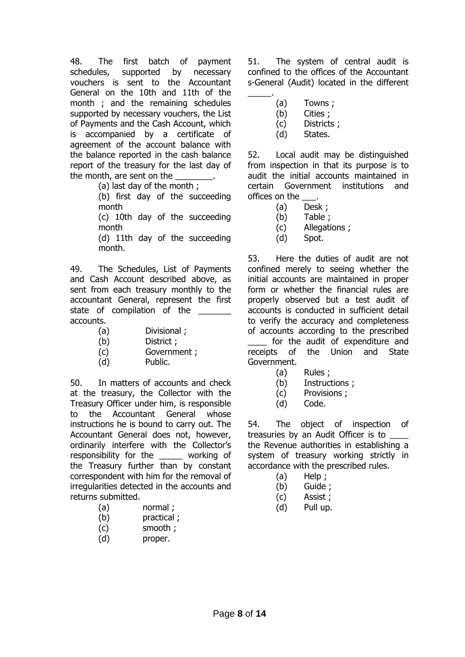48. The first batch of payment schedules, supported by necessary vouchers is sent to the Accountant General on the 10th and 11th of the month ; and the remaining schedules supported by necessary vouchers, the List of Payments and the Cash Account, which is accompanied by a certificate of agreement of the account balance with the balance reported in the cash balance report of the treasury for the last day of the month, are sent on the

(a) last day of the month ;

(b) first day of the succeeding month

(c) 10th day of the succeeding month

(d) 11th day of the succeeding month.

49. The Schedules, List of Payments and Cash Account described above, as sent from each treasury monthly to the accountant General, represent the first state of compilation of the accounts.

- (a) Divisional ;
- (b) District ;
- (c) Government ;
- (d) Public.

50. In matters of accounts and check at the treasury, the Collector with the Treasury Officer under him, is responsible to the Accountant General whose instructions he is bound to carry out. The Accountant General does not, however, ordinarily interfere with the Collector's responsibility for the \_\_\_\_\_ working of the Treasury further than by constant correspondent with him for the removal of irregularities detected in the accounts and returns submitted.

- (a) normal ;
- (b) practical ;
- (c) smooth ;
- (d) proper.

51. The system of central audit is confined to the offices of the Accountant s-General (Audit) located in the different

(a) Towns ;

\_\_\_\_\_.

- (b) Cities ;
- (c) Districts ;
- (d) States.

52. Local audit may be distinguished from inspection in that its purpose is to audit the initial accounts maintained in certain Government institutions and offices on the \_\_\_.

- (a) Desk ;
- (b) Table ;
- (c) Allegations ;
- (d) Spot.

53. Here the duties of audit are not confined merely to seeing whether the initial accounts are maintained in proper form or whether the financial rules are properly observed but a test audit of accounts is conducted in sufficient detail to verify the accuracy and completeness of accounts according to the prescribed for the audit of expenditure and receipts of the Union and State Government.

- (a) Rules ;
- (b) Instructions ;
- (c) Provisions ;
- (d) Code.

54. The object of inspection of treasuries by an Audit Officer is to the Revenue authorities in establishing a system of treasury working strictly in accordance with the prescribed rules.

- (a) Help ;
- (b) Guide ;
- (c) Assist ;
- (d) Pull up.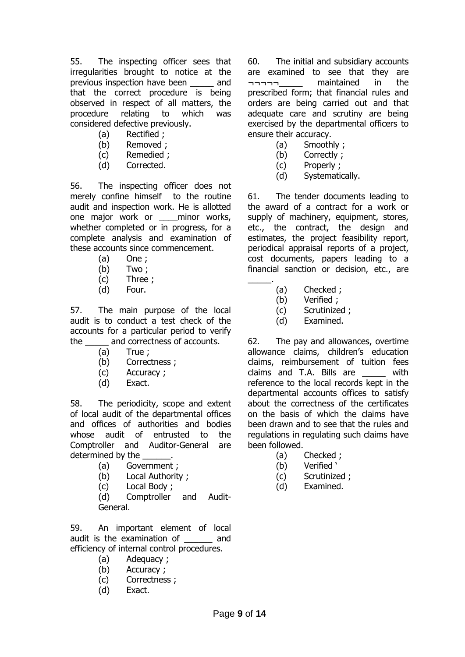55. The inspecting officer sees that irregularities brought to notice at the previous inspection have been \_\_\_\_\_ and that the correct procedure is being observed in respect of all matters, the procedure relating to which was considered defective previously.

- (a) Rectified ;
- (b) Removed ;
- (c) Remedied ;
- (d) Corrected.

56. The inspecting officer does not merely confine himself to the routine audit and inspection work. He is allotted one major work or eminor works, whether completed or in progress, for a complete analysis and examination of these accounts since commencement.

- (a) One ;
- (b) Two ;
- (c) Three ;
- (d) Four.

57. The main purpose of the local audit is to conduct a test check of the accounts for a particular period to verify the \_\_\_\_\_ and correctness of accounts.

- (a) True ;
- (b) Correctness ;
- (c) Accuracy ;
- (d) Exact.

58. The periodicity, scope and extent of local audit of the departmental offices and offices of authorities and bodies whose audit of entrusted to the Comptroller and Auditor-General are determined by the

- (a) Government ;
- (b) Local Authority ;
- (c) Local Body ;

(d) Comptroller and Audit-General.

59. An important element of local audit is the examination of and efficiency of internal control procedures.

- (a) Adequacy ;
- (b) Accuracy ;
- (c) Correctness ;
- (d) Exact.

60. The initial and subsidiary accounts are examined to see that they are ¬¬¬¬¬\_\_\_\_\_ maintained in the prescribed form; that financial rules and orders are being carried out and that adequate care and scrutiny are being exercised by the departmental officers to ensure their accuracy.

- (a) Smoothly ;
- (b) Correctly ;
- (c) Properly ;
- (d) Systematically.

61. The tender documents leading to the award of a contract for a work or supply of machinery, equipment, stores, etc., the contract, the design and estimates, the project feasibility report, periodical appraisal reports of a project, cost documents, papers leading to a financial sanction or decision, etc., are

- $\overline{\phantom{a}}$ (a) Checked ;
	- (b) Verified ;
	- (c) Scrutinized ;
	- (d) Examined.

62. The pay and allowances, overtime allowance claims, children's education claims, reimbursement of tuition fees claims and T.A. Bills are \_\_\_\_\_ with reference to the local records kept in the departmental accounts offices to satisfy about the correctness of the certificates on the basis of which the claims have been drawn and to see that the rules and regulations in regulating such claims have been followed.

- (a) Checked ;
- (b) Verified '
- (c) Scrutinized ;
- (d) Examined.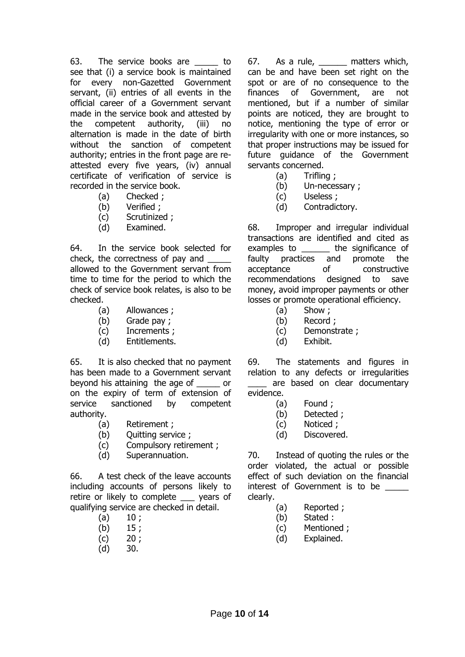63. The service books are \_\_\_\_\_ to see that (i) a service book is maintained for every non-Gazetted Government servant, (ii) entries of all events in the official career of a Government servant made in the service book and attested by the competent authority, (iii) no alternation is made in the date of birth without the sanction of competent authority; entries in the front page are reattested every five years, (iv) annual certificate of verification of service is recorded in the service book.

- (a) Checked ;
- (b) Verified ;
- (c) Scrutinized ;
- (d) Examined.

64. In the service book selected for check, the correctness of pay and \_\_\_\_\_ allowed to the Government servant from time to time for the period to which the check of service book relates, is also to be checked.

- (a) Allowances ;
- (b) Grade pay ;
- (c) Increments ;
- (d) Entitlements.

65. It is also checked that no payment has been made to a Government servant beyond his attaining the age of \_\_\_\_\_ or on the expiry of term of extension of service sanctioned by competent authority.

- (a) Retirement ;
- (b) Quitting service ;
- (c) Compulsory retirement ;
- (d) Superannuation.

66. A test check of the leave accounts including accounts of persons likely to retire or likely to complete \_\_\_ years of qualifying service are checked in detail.

- $(a)$  10 ;
- $(b)$  15;
- $(c)$  20;
- (d) 30.

67. As a rule, \_\_\_\_\_\_ matters which, can be and have been set right on the spot or are of no consequence to the finances of Government, are not mentioned, but if a number of similar points are noticed, they are brought to notice, mentioning the type of error or irregularity with one or more instances, so that proper instructions may be issued for future guidance of the Government servants concerned.

- (a) Trifling ;
- (b) Un-necessary ;
- (c) Useless ;
- (d) Contradictory.

68. Improper and irregular individual transactions are identified and cited as examples to **the significance of** faulty practices and promote the acceptance of constructive recommendations designed to save money, avoid improper payments or other losses or promote operational efficiency.

- (a) Show ;
- (b) Record ;
- (c) Demonstrate ;
- (d) Exhibit.

69. The statements and figures in relation to any defects or irregularities are based on clear documentary evidence.

- (a) Found ;
- (b) Detected ;
- (c) Noticed ;
- (d) Discovered.

70. Instead of quoting the rules or the order violated, the actual or possible effect of such deviation on the financial interest of Government is to be \_\_\_\_\_ clearly.

- (a) Reported ;
- (b) Stated :
- (c) Mentioned ;
- (d) Explained.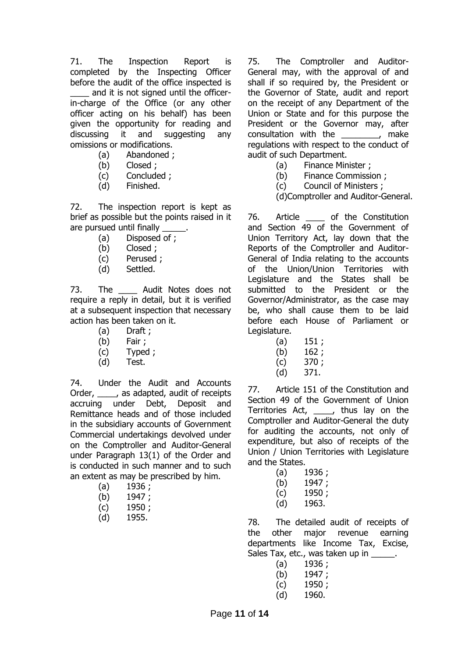71. The Inspection Report is completed by the Inspecting Officer before the audit of the office inspected is

and it is not signed until the officerin-charge of the Office (or any other officer acting on his behalf) has been given the opportunity for reading and discussing it and suggesting any omissions or modifications.

- (a) Abandoned ;
- (b) Closed ;
- (c) Concluded ;
- (d) Finished.

72. The inspection report is kept as brief as possible but the points raised in it are pursued until finally

- (a) Disposed of ;
- (b) Closed ;
- (c) Perused ;
- (d) Settled.

73. The Audit Notes does not require a reply in detail, but it is verified at a subsequent inspection that necessary action has been taken on it.

- (a) Draft ;
- (b) Fair ;
- (c) Typed ;
- (d) Test.

74. Under the Audit and Accounts Order, \_\_\_\_, as adapted, audit of receipts accruing under Debt, Deposit and Remittance heads and of those included in the subsidiary accounts of Government Commercial undertakings devolved under on the Comptroller and Auditor-General under Paragraph 13(1) of the Order and is conducted in such manner and to such an extent as may be prescribed by him.

- (a) 1936 ;
- (b) 1947 ;
- (c) 1950 ;
- (d) 1955.

75. The Comptroller and Auditor-General may, with the approval of and shall if so required by, the President or the Governor of State, audit and report on the receipt of any Department of the Union or State and for this purpose the President or the Governor may, after consultation with the make regulations with respect to the conduct of audit of such Department.

- (a) Finance Minister ;
- (b) Finance Commission ;
- (c) Council of Ministers ;
- (d)Comptroller and Auditor-General.

76. Article of the Constitution and Section 49 of the Government of Union Territory Act, lay down that the Reports of the Comptroller and Auditor-General of India relating to the accounts of the Union/Union Territories with Legislature and the States shall be submitted to the President or the Governor/Administrator, as the case may be, who shall cause them to be laid before each House of Parliament or Legislature.

- $(a)$  151;
- (b) 162 ;
- (c) 370 ;
- (d) 371.

77. Article 151 of the Constitution and Section 49 of the Government of Union Territories Act, \_\_\_\_, thus lay on the Comptroller and Auditor-General the duty for auditing the accounts, not only of expenditure, but also of receipts of the Union / Union Territories with Legislature and the States.

- $(a)$  1936;
- (b) 1947 ;
- (c) 1950 ;
- (d) 1963.

78. The detailed audit of receipts of the other major revenue earning departments like Income Tax, Excise, Sales Tax, etc., was taken up in  $\qquad \qquad$ .

- (a) 1936 ;
- (b) 1947 ;
- (c) 1950 ;
- (d) 1960.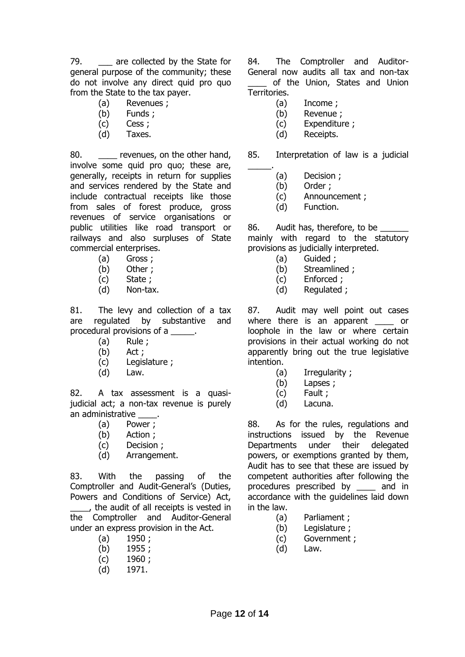79. \_\_\_ are collected by the State for general purpose of the community; these do not involve any direct quid pro quo from the State to the tax payer.

- (a) Revenues ;
- (b) Funds ;
- (c) Cess ;
- (d) Taxes.

80. The revenues, on the other hand, involve some quid pro quo; these are, generally, receipts in return for supplies and services rendered by the State and include contractual receipts like those from sales of forest produce, gross revenues of service organisations or public utilities like road transport or railways and also surpluses of State commercial enterprises.

- (a) Gross ;
- (b) Other ;
- (c) State ;
- (d) Non-tax.

81. The levy and collection of a tax are regulated by substantive and procedural provisions of a \_\_\_\_\_\_.

- (a) Rule ;
- (b) Act ;
- (c) Legislature ;
- (d) Law.

82. A tax assessment is a quasijudicial act; a non-tax revenue is purely an administrative \_\_\_\_\_.

- (a) Power ;
- (b) Action ;
- (c) Decision ;
- (d) Arrangement.

83. With the passing of the Comptroller and Audit-General's (Duties, Powers and Conditions of Service) Act, \_\_\_\_, the audit of all receipts is vested in the Comptroller and Auditor-General under an express provision in the Act.

- (a) 1950 ;
- (b) 1955 ;
- (c) 1960 ;
- (d) 1971.

84. The Comptroller and Auditor-General now audits all tax and non-tax of the Union, States and Union Territories.

- (a) Income ;
- (b) Revenue ;
- (c) Expenditure ;
- (d) Receipts.

85. Interpretation of law is a judicial

- \_\_\_\_\_. (a) Decision ;
	- (b) Order ;
	- (c) Announcement ;
	- (d) Function.

86. Audit has, therefore, to be mainly with regard to the statutory provisions as judicially interpreted.

- (a) Guided ;
- (b) Streamlined ;
- (c) Enforced ;
- (d) Regulated ;

87. Audit may well point out cases where there is an apparent \_\_\_\_ or loophole in the law or where certain provisions in their actual working do not apparently bring out the true legislative intention.

- (a) Irregularity ;
- (b) Lapses ;
- (c) Fault ;
- (d) Lacuna.

88. As for the rules, regulations and instructions issued by the Revenue Departments under their delegated powers, or exemptions granted by them, Audit has to see that these are issued by competent authorities after following the procedures prescribed by \_\_\_\_ and in accordance with the guidelines laid down in the law.

- (a) Parliament ;
- (b) Legislature ;
- (c) Government ;
- (d) Law.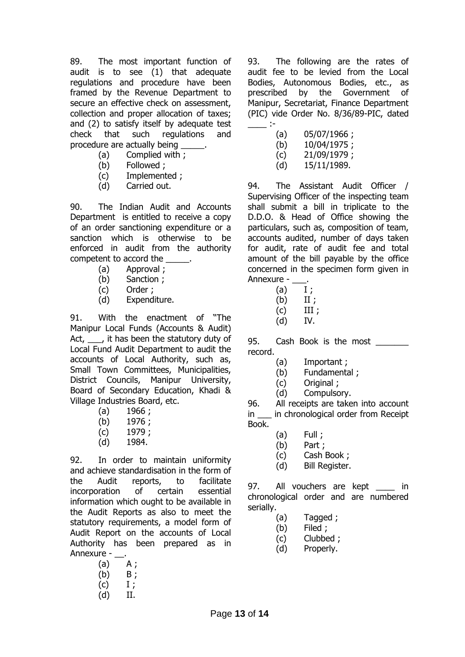89. The most important function of audit is to see (1) that adequate regulations and procedure have been framed by the Revenue Department to secure an effective check on assessment, collection and proper allocation of taxes; and (2) to satisfy itself by adequate test check that such regulations and procedure are actually being

- (a) Complied with ;
- (b) Followed ;
- (c) Implemented ;
- (d) Carried out.

90. The Indian Audit and Accounts Department is entitled to receive a copy of an order sanctioning expenditure or a sanction which is otherwise to be enforced in audit from the authority competent to accord the  $\qquad \qquad$ .

- (a) Approval ;
- (b) Sanction ;
- (c) Order ;
- (d) Expenditure.

91. With the enactment of "The Manipur Local Funds (Accounts & Audit) Act, it has been the statutory duty of Local Fund Audit Department to audit the accounts of Local Authority, such as, Small Town Committees, Municipalities, District Councils, Manipur University, Board of Secondary Education, Khadi & Village Industries Board, etc.

- $(a)$  1966;
- (b) 1976 ;
- (c) 1979 ;
- (d) 1984.

92. In order to maintain uniformity and achieve standardisation in the form of the Audit reports, to facilitate incorporation of certain essential information which ought to be available in the Audit Reports as also to meet the statutory requirements, a model form of Audit Report on the accounts of Local Authority has been prepared as in Annexure - .

- $(a)$   $A$ ;  $(b)$   $B$ ;
- $(C)$  I;
- (d) II.
	-

93. The following are the rates of audit fee to be levied from the Local Bodies, Autonomous Bodies, etc., as prescribed by the Government of Manipur, Secretariat, Finance Department (PIC) vide Order No. 8/36/89-PIC, dated  $\equiv$  :

| (a) | 05/07/1966; |
|-----|-------------|
| (b) | 10/04/1975; |
| (c) | 21/09/1979; |
| (d) | 15/11/1989. |

94. The Assistant Audit Officer / Supervising Officer of the inspecting team shall submit a bill in triplicate to the D.D.O. & Head of Office showing the particulars, such as, composition of team, accounts audited, number of days taken for audit, rate of audit fee and total amount of the bill payable by the office concerned in the specimen form given in Annexure -

- $(a)$  I;
- $(b)$  II;
- $(C)$  III ;
- (d) IV.

95. Cash Book is the most record.

- (a) Important ;
- (b) Fundamental ;
- (c) Original ;
- (d) Compulsory.

96. All receipts are taken into account in in chronological order from Receipt Book.

- $(a)$  Full ;
- (b) Part ;
- (c) Cash Book ;
- (d) Bill Register.

97. All vouchers are kept \_\_\_\_ in chronological order and are numbered serially.

- (a) Tagged ;
- (b) Filed ;
- (c) Clubbed ;
- (d) Properly.